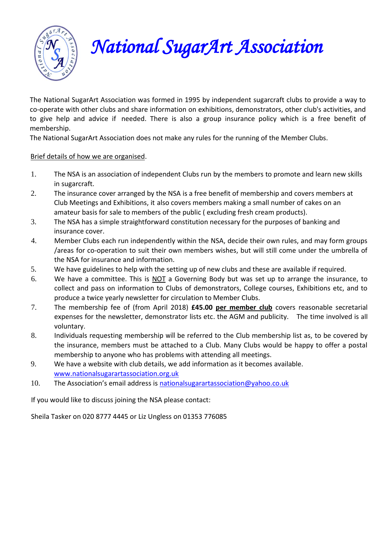

*National SugarArt Association* 

The National SugarArt Association was formed in 1995 by independent sugarcraft clubs to provide a way to co-operate with other clubs and share information on exhibitions, demonstrators, other club's activities, and to give help and advice if needed. There is also a group insurance policy which is a free benefit of membership.

The National SugarArt Association does not make any rules for the running of the Member Clubs.

### Brief details of how we are organised.

- 1. The NSA is an association of independent Clubs run by the members to promote and learn new skills in sugarcraft.
- 2. The insurance cover arranged by the NSA is a free benefit of membership and covers members at Club Meetings and Exhibitions, it also covers members making a small number of cakes on an amateur basis for sale to members of the public ( excluding fresh cream products).
- 3. The NSA has a simple straightforward constitution necessary for the purposes of banking and insurance cover.
- 4. Member Clubs each run independently within the NSA, decide their own rules, and may form groups /areas for co-operation to suit their own members wishes, but will still come under the umbrella of the NSA for insurance and information.
- 5. We have guidelines to help with the setting up of new clubs and these are available if required.
- 6. We have a committee. This is NOT a Governing Body but was set up to arrange the insurance, to collect and pass on information to Clubs of demonstrators, College courses, Exhibitions etc, and to produce a twice yearly newsletter for circulation to Member Clubs.
- 7. The membership fee of (from April 2018) **£45.00 per member club** covers reasonable secretarial expenses for the newsletter, demonstrator lists etc. the AGM and publicity. The time involved is all voluntary.
- 8. Individuals requesting membership will be referred to the Club membership list as, to be covered by the insurance, members must be attached to a Club. Many Clubs would be happy to offer a postal membership to anyone who has problems with attending all meetings.
- 9. We have a website with club details, we add information as it becomes available. [www.nationalsugarartassociation.org.uk](http://www.nationalsugarartassociation.org.uk/)
- 10. The Association's email address is [nationalsugarartassociation@yahoo.co.uk](mailto:nationalsugarartassociation@yahoo.co.uk)

If you would like to discuss joining the NSA please contact:

Sheila Tasker on 020 8777 4445 or Liz Ungless on 01353 776085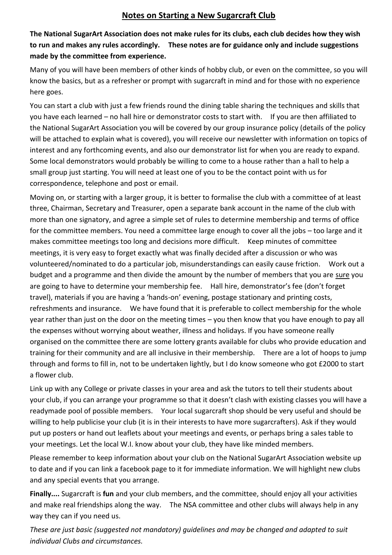### **Notes on Starting a New Sugarcraft Club**

**The National SugarArt Association does not make rules for its clubs, each club decides how they wish to run and makes any rules accordingly. These notes are for guidance only and include suggestions made by the committee from experience.**

Many of you will have been members of other kinds of hobby club, or even on the committee, so you will know the basics, but as a refresher or prompt with sugarcraft in mind and for those with no experience here goes.

You can start a club with just a few friends round the dining table sharing the techniques and skills that you have each learned – no hall hire or demonstrator costs to start with. If you are then affiliated to the National SugarArt Association you will be covered by our group insurance policy (details of the policy will be attached to explain what is covered), you will receive our newsletter with information on topics of interest and any forthcoming events, and also our demonstrator list for when you are ready to expand. Some local demonstrators would probably be willing to come to a house rather than a hall to help a small group just starting. You will need at least one of you to be the contact point with us for correspondence, telephone and post or email.

Moving on, or starting with a larger group, it is better to formalise the club with a committee of at least three, Chairman, Secretary and Treasurer, open a separate bank account in the name of the club with more than one signatory, and agree a simple set of rules to determine membership and terms of office for the committee members. You need a committee large enough to cover all the jobs – too large and it makes committee meetings too long and decisions more difficult. Keep minutes of committee meetings, it is very easy to forget exactly what was finally decided after a discussion or who was volunteered/nominated to do a particular job, misunderstandings can easily cause friction. Work out a budget and a programme and then divide the amount by the number of members that you are sure you are going to have to determine your membership fee. Hall hire, demonstrator's fee (don't forget travel), materials if you are having a 'hands-on' evening, postage stationary and printing costs, refreshments and insurance. We have found that it is preferable to collect membership for the whole year rather than just on the door on the meeting times – you then know that you have enough to pay all the expenses without worrying about weather, illness and holidays. If you have someone really organised on the committee there are some lottery grants available for clubs who provide education and training for their community and are all inclusive in their membership. There are a lot of hoops to jump through and forms to fill in, not to be undertaken lightly, but I do know someone who got £2000 to start a flower club.

Link up with any College or private classes in your area and ask the tutors to tell their students about your club, if you can arrange your programme so that it doesn't clash with existing classes you will have a readymade pool of possible members. Your local sugarcraft shop should be very useful and should be willing to help publicise your club (it is in their interests to have more sugarcrafters). Ask if they would put up posters or hand out leaflets about your meetings and events, or perhaps bring a sales table to your meetings. Let the local W.I. know about your club, they have like minded members.

Please remember to keep information about your club on the National SugarArt Association website up to date and if you can link a facebook page to it for immediate information. We will highlight new clubs and any special events that you arrange.

**Finally....** Sugarcraft is **fun** and your club members, and the committee, should enjoy all your activities and make real friendships along the way. The NSA committee and other clubs will always help in any way they can if you need us.

*These are just basic (suggested not mandatory) guidelines and may be changed and adapted to suit individual Clubs and circumstances.*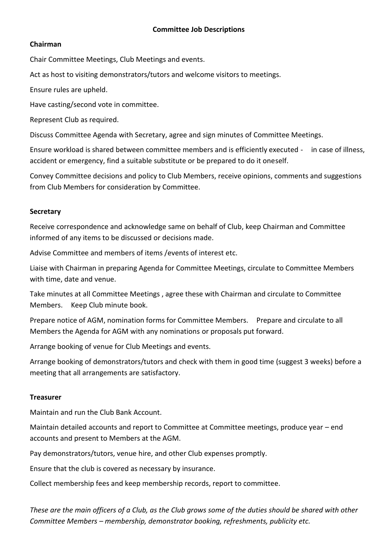### **Chairman**

Chair Committee Meetings, Club Meetings and events.

Act as host to visiting demonstrators/tutors and welcome visitors to meetings.

Ensure rules are upheld.

Have casting/second vote in committee.

Represent Club as required.

Discuss Committee Agenda with Secretary, agree and sign minutes of Committee Meetings.

Ensure workload is shared between committee members and is efficiently executed - in case of illness, accident or emergency, find a suitable substitute or be prepared to do it oneself.

Convey Committee decisions and policy to Club Members, receive opinions, comments and suggestions from Club Members for consideration by Committee.

### **Secretary**

Receive correspondence and acknowledge same on behalf of Club, keep Chairman and Committee informed of any items to be discussed or decisions made.

Advise Committee and members of items /events of interest etc.

Liaise with Chairman in preparing Agenda for Committee Meetings, circulate to Committee Members with time, date and venue.

Take minutes at all Committee Meetings , agree these with Chairman and circulate to Committee Members. Keep Club minute book.

Prepare notice of AGM, nomination forms for Committee Members. Prepare and circulate to all Members the Agenda for AGM with any nominations or proposals put forward.

Arrange booking of venue for Club Meetings and events.

Arrange booking of demonstrators/tutors and check with them in good time (suggest 3 weeks) before a meeting that all arrangements are satisfactory.

### **Treasurer**

Maintain and run the Club Bank Account.

Maintain detailed accounts and report to Committee at Committee meetings, produce year – end accounts and present to Members at the AGM.

Pay demonstrators/tutors, venue hire, and other Club expenses promptly.

Ensure that the club is covered as necessary by insurance.

Collect membership fees and keep membership records, report to committee.

*These are the main officers of a Club, as the Club grows some of the duties should be shared with other Committee Members – membership, demonstrator booking, refreshments, publicity etc.*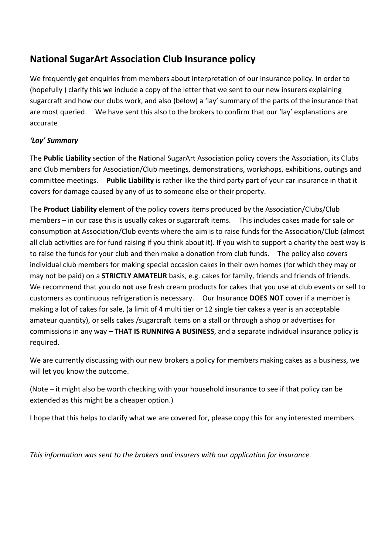### **National SugarArt Association Club Insurance policy**

We frequently get enquiries from members about interpretation of our insurance policy. In order to (hopefully ) clarify this we include a copy of the letter that we sent to our new insurers explaining sugarcraft and how our clubs work, and also (below) a 'lay' summary of the parts of the insurance that are most queried. We have sent this also to the brokers to confirm that our 'lay' explanations are accurate

### *'Lay' Summary*

The **Public Liability** section of the National SugarArt Association policy covers the Association, its Clubs and Club members for Association/Club meetings, demonstrations, workshops, exhibitions, outings and committee meetings. **Public Liability** is rather like the third party part of your car insurance in that it covers for damage caused by any of us to someone else or their property.

The **Product Liability** element of the policy covers items produced by the Association/Clubs/Club members – in our case this is usually cakes or sugarcraft items. This includes cakes made for sale or consumption at Association/Club events where the aim is to raise funds for the Association/Club (almost all club activities are for fund raising if you think about it). If you wish to support a charity the best way is to raise the funds for your club and then make a donation from club funds. The policy also covers individual club members for making special occasion cakes in their own homes (for which they may or may not be paid) on a **STRICTLY AMATEUR** basis, e.g. cakes for family, friends and friends of friends. We recommend that you do **not** use fresh cream products for cakes that you use at club events or sell to customers as continuous refrigeration is necessary. Our Insurance **DOES NOT** cover if a member is making a lot of cakes for sale, (a limit of 4 multi tier or 12 single tier cakes a year is an acceptable amateur quantity), or sells cakes /sugarcraft items on a stall or through a shop or advertises for commissions in any way **– THAT IS RUNNING A BUSINESS**, and a separate individual insurance policy is required.

We are currently discussing with our new brokers a policy for members making cakes as a business, we will let you know the outcome.

(Note – it might also be worth checking with your household insurance to see if that policy can be extended as this might be a cheaper option.)

I hope that this helps to clarify what we are covered for, please copy this for any interested members.

*This information was sent to the brokers and insurers with our application for insurance.*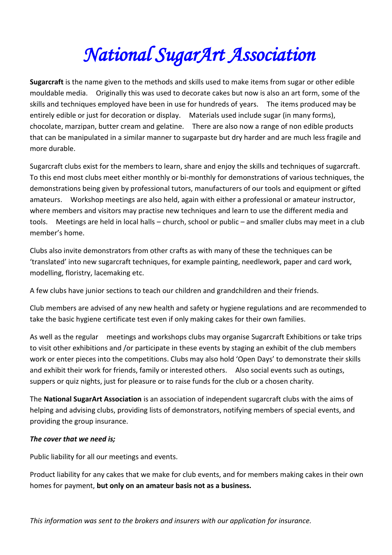# *National SugarArt Association*

**Sugarcraft** is the name given to the methods and skills used to make items from sugar or other edible mouldable media. Originally this was used to decorate cakes but now is also an art form, some of the skills and techniques employed have been in use for hundreds of years. The items produced may be entirely edible or just for decoration or display. Materials used include sugar (in many forms), chocolate, marzipan, butter cream and gelatine. There are also now a range of non edible products that can be manipulated in a similar manner to sugarpaste but dry harder and are much less fragile and more durable.

Sugarcraft clubs exist for the members to learn, share and enjoy the skills and techniques of sugarcraft. To this end most clubs meet either monthly or bi-monthly for demonstrations of various techniques, the demonstrations being given by professional tutors, manufacturers of our tools and equipment or gifted amateurs. Workshop meetings are also held, again with either a professional or amateur instructor, where members and visitors may practise new techniques and learn to use the different media and tools. Meetings are held in local halls – church, school or public – and smaller clubs may meet in a club member's home.

Clubs also invite demonstrators from other crafts as with many of these the techniques can be 'translated' into new sugarcraft techniques, for example painting, needlework, paper and card work, modelling, floristry, lacemaking etc.

A few clubs have junior sections to teach our children and grandchildren and their friends.

Club members are advised of any new health and safety or hygiene regulations and are recommended to take the basic hygiene certificate test even if only making cakes for their own families.

As well as the regular meetings and workshops clubs may organise Sugarcraft Exhibitions or take trips to visit other exhibitions and /or participate in these events by staging an exhibit of the club members work or enter pieces into the competitions. Clubs may also hold 'Open Days' to demonstrate their skills and exhibit their work for friends, family or interested others. Also social events such as outings, suppers or quiz nights, just for pleasure or to raise funds for the club or a chosen charity.

The **National SugarArt Association** is an association of independent sugarcraft clubs with the aims of helping and advising clubs, providing lists of demonstrators, notifying members of special events, and providing the group insurance.

### *The cover that we need is;*

Public liability for all our meetings and events.

Product liability for any cakes that we make for club events, and for members making cakes in their own homes for payment, **but only on an amateur basis not as a business.**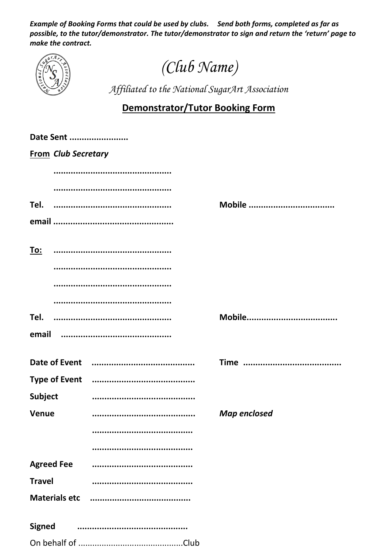Example of Booking Forms that could be used by clubs. Send both forms, completed as far as possible, to the tutor/demonstrator. The tutor/demonstrator to sign and return the 'return' page to make the contract.





Affiliated to the National SugarArt Association

### Demonstrator/Tutor Booking Form

| Date Sent                  |  |                     |  |  |  |  |  |  |
|----------------------------|--|---------------------|--|--|--|--|--|--|
| <b>From Club Secretary</b> |  |                     |  |  |  |  |  |  |
|                            |  |                     |  |  |  |  |  |  |
|                            |  |                     |  |  |  |  |  |  |
| Tel.                       |  |                     |  |  |  |  |  |  |
|                            |  |                     |  |  |  |  |  |  |
| <u>To:</u>                 |  |                     |  |  |  |  |  |  |
|                            |  |                     |  |  |  |  |  |  |
|                            |  |                     |  |  |  |  |  |  |
|                            |  |                     |  |  |  |  |  |  |
| Tel.                       |  |                     |  |  |  |  |  |  |
| email                      |  |                     |  |  |  |  |  |  |
|                            |  |                     |  |  |  |  |  |  |
|                            |  |                     |  |  |  |  |  |  |
|                            |  |                     |  |  |  |  |  |  |
| <b>Subject</b>             |  |                     |  |  |  |  |  |  |
| <b>Venue</b>               |  | <b>Map enclosed</b> |  |  |  |  |  |  |
|                            |  |                     |  |  |  |  |  |  |
|                            |  |                     |  |  |  |  |  |  |
| <b>Agreed Fee</b>          |  |                     |  |  |  |  |  |  |
| <b>Travel</b>              |  |                     |  |  |  |  |  |  |
|                            |  |                     |  |  |  |  |  |  |
| <b>Signed</b>              |  |                     |  |  |  |  |  |  |
|                            |  |                     |  |  |  |  |  |  |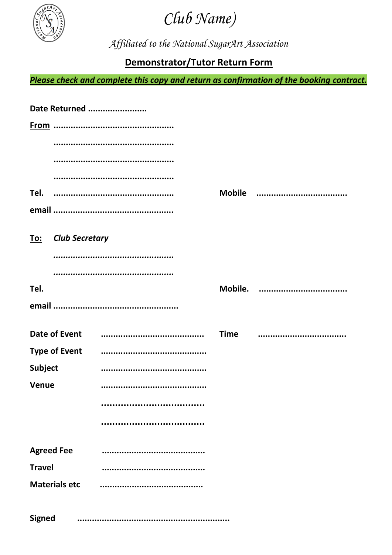

## Club Name)

Affiliated to the National SugarArt Association

### Demonstrator/Tutor Return Form

Please check and complete this copy and return as confirmation of the booking contract.

| Date Returned        |                       |  |             |  |  |  |  |  |  |
|----------------------|-----------------------|--|-------------|--|--|--|--|--|--|
|                      |                       |  |             |  |  |  |  |  |  |
|                      |                       |  |             |  |  |  |  |  |  |
|                      |                       |  |             |  |  |  |  |  |  |
|                      |                       |  |             |  |  |  |  |  |  |
| Tel.                 |                       |  |             |  |  |  |  |  |  |
|                      |                       |  |             |  |  |  |  |  |  |
| <u>To:</u>           | <b>Club Secretary</b> |  |             |  |  |  |  |  |  |
|                      |                       |  |             |  |  |  |  |  |  |
|                      |                       |  |             |  |  |  |  |  |  |
| Tel.                 |                       |  |             |  |  |  |  |  |  |
|                      |                       |  |             |  |  |  |  |  |  |
| <b>Date of Event</b> |                       |  | <b>Time</b> |  |  |  |  |  |  |
| <b>Type of Event</b> |                       |  |             |  |  |  |  |  |  |
| <b>Subject</b>       |                       |  |             |  |  |  |  |  |  |
| <b>Venue</b>         |                       |  |             |  |  |  |  |  |  |
|                      |                       |  |             |  |  |  |  |  |  |
|                      |                       |  |             |  |  |  |  |  |  |
| <b>Agreed Fee</b>    |                       |  |             |  |  |  |  |  |  |
| <b>Travel</b>        |                       |  |             |  |  |  |  |  |  |
| <b>Materials etc</b> |                       |  |             |  |  |  |  |  |  |
|                      |                       |  |             |  |  |  |  |  |  |
| <b>Signed</b>        |                       |  |             |  |  |  |  |  |  |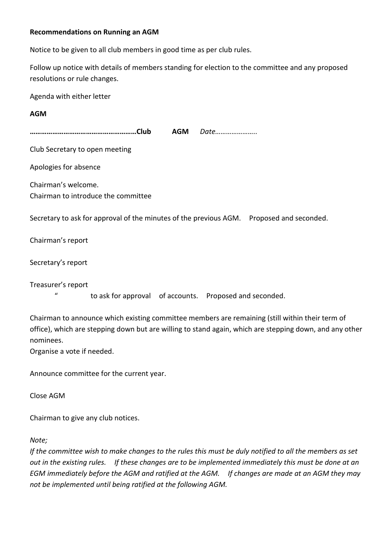### **Recommendations on Running an AGM**

Notice to be given to all club members in good time as per club rules.

Follow up notice with details of members standing for election to the committee and any proposed resolutions or rule changes.

Agenda with either letter

| <b>AGM</b>            |                                                                                                                                                                                                            |            |      |  |
|-----------------------|------------------------------------------------------------------------------------------------------------------------------------------------------------------------------------------------------------|------------|------|--|
|                       |                                                                                                                                                                                                            | <b>AGM</b> | Date |  |
|                       | Club Secretary to open meeting                                                                                                                                                                             |            |      |  |
| Apologies for absence |                                                                                                                                                                                                            |            |      |  |
| Chairman's welcome.   | Chairman to introduce the committee                                                                                                                                                                        |            |      |  |
|                       | Secretary to ask for approval of the minutes of the previous AGM. Proposed and seconded.                                                                                                                   |            |      |  |
| Chairman's report     |                                                                                                                                                                                                            |            |      |  |
| Secretary's report    |                                                                                                                                                                                                            |            |      |  |
| Treasurer's report    | to ask for approval of accounts. Proposed and seconded.                                                                                                                                                    |            |      |  |
| nominees.             | Chairman to announce which existing committee members are remaining (still within their term of<br>office), which are stepping down but are willing to stand again, which are stepping down, and any other |            |      |  |

Organise a vote if needed.

Announce committee for the current year.

Close AGM

Chairman to give any club notices.

*Note;*

*If the committee wish to make changes to the rules this must be duly notified to all the members as set out in the existing rules. If these changes are to be implemented immediately this must be done at an EGM immediately before the AGM and ratified at the AGM. If changes are made at an AGM they may not be implemented until being ratified at the following AGM.*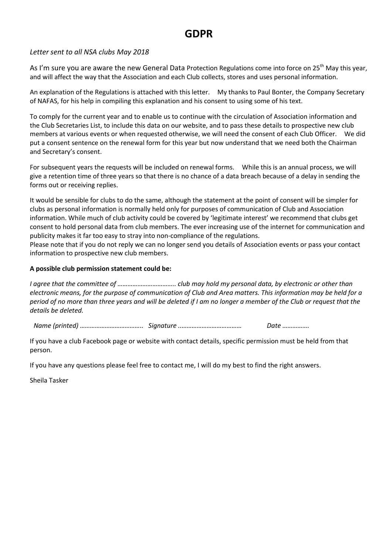### **GDPR**

#### *Letter sent to all NSA clubs May 2018*

As I'm sure you are aware the new General Data Protection Regulations come into force on 25<sup>th</sup> May this year, and will affect the way that the Association and each Club collects, stores and uses personal information.

An explanation of the Regulations is attached with this letter. My thanks to Paul Bonter, the Company Secretary of NAFAS, for his help in compiling this explanation and his consent to using some of his text.

To comply for the current year and to enable us to continue with the circulation of Association information and the Club Secretaries List, to include this data on our website, and to pass these details to prospective new club members at various events or when requested otherwise, we will need the consent of each Club Officer. We did put a consent sentence on the renewal form for this year but now understand that we need both the Chairman and Secretary's consent.

For subsequent years the requests will be included on renewal forms. While this is an annual process, we will give a retention time of three years so that there is no chance of a data breach because of a delay in sending the forms out or receiving replies.

It would be sensible for clubs to do the same, although the statement at the point of consent will be simpler for clubs as personal information is normally held only for purposes of communication of Club and Association information. While much of club activity could be covered by 'legitimate interest' we recommend that clubs get consent to hold personal data from club members. The ever increasing use of the internet for communication and publicity makes it far too easy to stray into non-compliance of the regulations.

Please note that if you do not reply we can no longer send you details of Association events or pass your contact information to prospective new club members.

#### **A possible club permission statement could be:**

*I agree that the committee of …………………………….. club may hold my personal data, by electronic or other than electronic means, for the purpose of communication of Club and Area matters. This information may be held for a period of no more than three years and will be deleted if I am no longer a member of the Club or request that the details be deleted.*

*Name (printed) ……………………………….. Signature ..……………………………… Date …………….*

If you have a club Facebook page or website with contact details, specific permission must be held from that person.

If you have any questions please feel free to contact me, I will do my best to find the right answers.

Sheila Tasker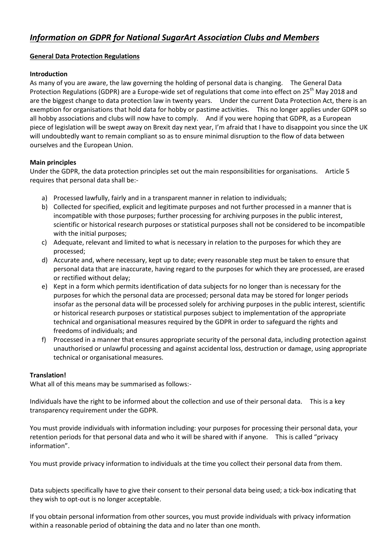### *Information on GDPR for National SugarArt Association Clubs and Members*

### **General Data Protection Regulations**

### **Introduction**

As many of you are aware, the law governing the holding of personal data is changing. The General Data Protection Regulations (GDPR) are a Europe-wide set of regulations that come into effect on 25<sup>th</sup> May 2018 and are the biggest change to data protection law in twenty years. Under the current Data Protection Act, there is an exemption for organisations that hold data for hobby or pastime activities. This no longer applies under GDPR so all hobby associations and clubs will now have to comply. And if you were hoping that GDPR, as a European piece of legislation will be swept away on Brexit day next year, I'm afraid that I have to disappoint you since the UK will undoubtedly want to remain compliant so as to ensure minimal disruption to the flow of data between ourselves and the European Union.

#### **Main principles**

Under the GDPR, the data protection principles set out the main responsibilities for organisations. Article 5 requires that personal data shall be:-

- a) Processed lawfully, fairly and in a transparent manner in relation to individuals;
- b) Collected for specified, explicit and legitimate purposes and not further processed in a manner that is incompatible with those purposes; further processing for archiving purposes in the public interest, scientific or historical research purposes or statistical purposes shall not be considered to be incompatible with the initial purposes;
- c) Adequate, relevant and limited to what is necessary in relation to the purposes for which they are processed;
- d) Accurate and, where necessary, kept up to date; every reasonable step must be taken to ensure that personal data that are inaccurate, having regard to the purposes for which they are processed, are erased or rectified without delay;
- e) Kept in a form which permits identification of data subjects for no longer than is necessary for the purposes for which the personal data are processed; personal data may be stored for longer periods insofar as the personal data will be processed solely for archiving purposes in the public interest, scientific or historical research purposes or statistical purposes subject to implementation of the appropriate technical and organisational measures required by the GDPR in order to safeguard the rights and freedoms of individuals; and
- f) Processed in a manner that ensures appropriate security of the personal data, including protection against unauthorised or unlawful processing and against accidental loss, destruction or damage, using appropriate technical or organisational measures.

#### **Translation!**

What all of this means may be summarised as follows:-

Individuals have the right to be informed about the collection and use of their personal data. This is a key transparency requirement under the GDPR.

You must provide individuals with information including: your purposes for processing their personal data, your retention periods for that personal data and who it will be shared with if anyone. This is called "privacy information".

You must provide privacy information to individuals at the time you collect their personal data from them.

Data subjects specifically have to give their consent to their personal data being used; a tick-box indicating that they wish to opt-out is no longer acceptable.

If you obtain personal information from other sources, you must provide individuals with privacy information within a reasonable period of obtaining the data and no later than one month.